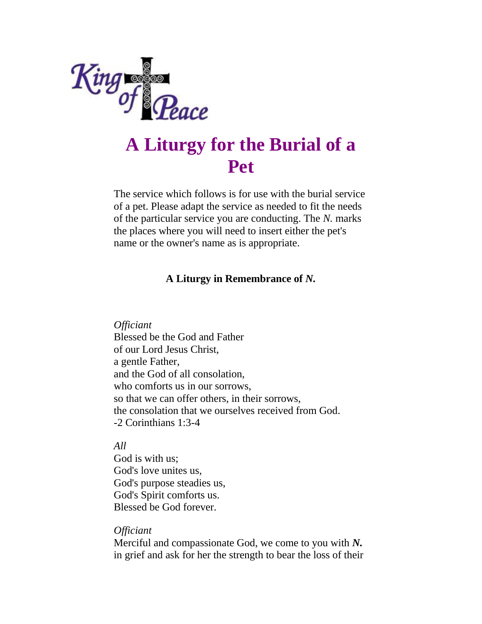

# **A Liturgy for the Burial of a Pet**

The service which follows is for use with the burial service of a pet. Please adapt the service as needed to fit the needs of the particular service you are conducting. The *N.* marks the places where you will need to insert either the pet's name or the owner's name as is appropriate.

## **A Liturgy in Remembrance of** *N.*

*Officiant*

Blessed be the God and Father of our Lord Jesus Christ, a gentle Father, and the God of all consolation, who comforts us in our sorrows, so that we can offer others, in their sorrows, the consolation that we ourselves received from God. -2 Corinthians 1:3-4

*All*

God is with us; God's love unites us, God's purpose steadies us, God's Spirit comforts us. Blessed be God forever.

## *Officiant*

Merciful and compassionate God, we come to you with *N.* in grief and ask for her the strength to bear the loss of their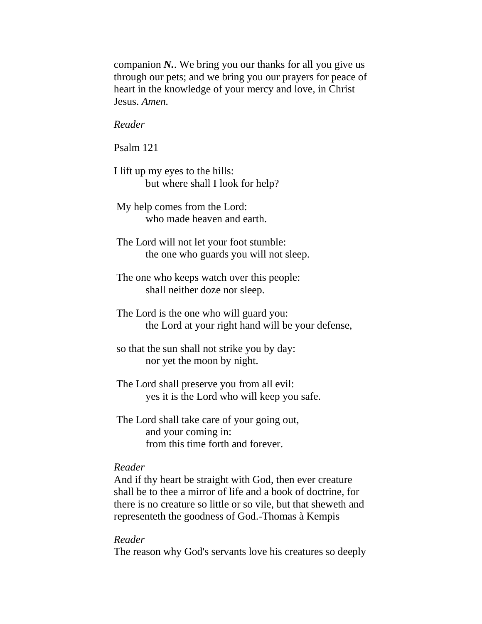companion *N.*. We bring you our thanks for all you give us through our pets; and we bring you our prayers for peace of heart in the knowledge of your mercy and love, in Christ Jesus. *Amen.*

*Reader*

Psalm 121

I lift up my eyes to the hills: but where shall I look for help?

My help comes from the Lord: who made heaven and earth.

The Lord will not let your foot stumble: the one who guards you will not sleep.

- The one who keeps watch over this people: shall neither doze nor sleep.
- The Lord is the one who will guard you: the Lord at your right hand will be your defense,
- so that the sun shall not strike you by day: nor yet the moon by night.
- The Lord shall preserve you from all evil: yes it is the Lord who will keep you safe.

The Lord shall take care of your going out, and your coming in: from this time forth and forever.

#### *Reader*

And if thy heart be straight with God, then ever creature shall be to thee a mirror of life and a book of doctrine, for there is no creature so little or so vile, but that sheweth and representeth the goodness of God.-Thomas à Kempis

#### *Reader*

The reason why God's servants love his creatures so deeply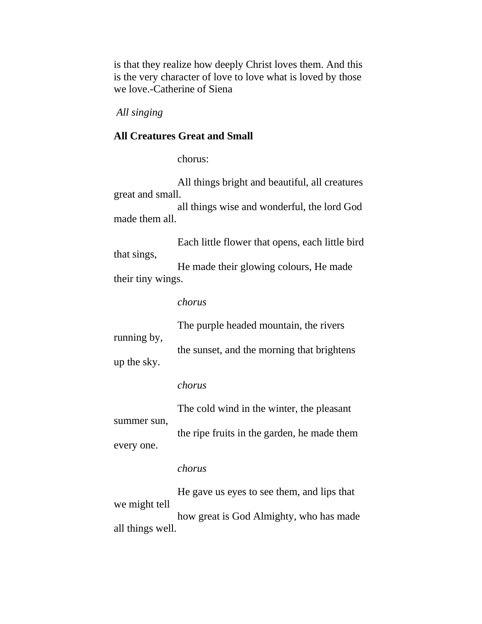is that they realize how deeply Christ loves them. And this is the very character of love to love what is loved by those we love.-Catherine of Siena

*All singing*

### **All Creatures Great and Small**

chorus:

 All things bright and beautiful, all creatures great and small.

 all things wise and wonderful, the lord God made them all.

 Each little flower that opens, each little bird that sings,

 He made their glowing colours, He made their tiny wings.

#### *chorus*

|             | The purple headed mountain, the rivers     |
|-------------|--------------------------------------------|
| running by, | the sunset, and the morning that brightens |
| up the sky. |                                            |

#### *chorus*

 The cold wind in the winter, the pleasant summer sun, the ripe fruits in the garden, he made them every one.

## *chorus*

 He gave us eyes to see them, and lips that we might tell how great is God Almighty, who has made all things well.